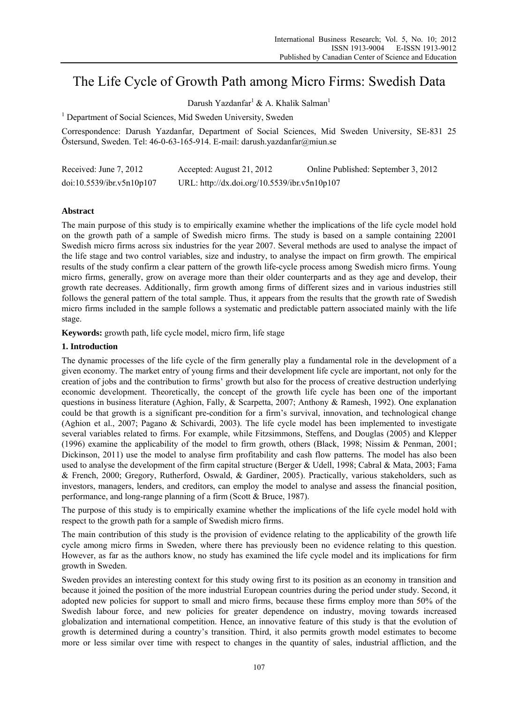# The Life Cycle of Growth Path among Micro Firms: Swedish Data

Darush Yazdanfar<sup>1</sup> & A. Khalik Salman<sup>1</sup>

<sup>1</sup> Department of Social Sciences, Mid Sweden University, Sweden

Correspondence: Darush Yazdanfar, Department of Social Sciences, Mid Sweden University, SE-831 25 Östersund, Sweden. Tel: 46-0-63-165-914. E-mail: darush.yazdanfar@miun.se

| Received: June 7, 2012    | Accepted: August 21, 2012                    | Online Published: September 3, 2012 |
|---------------------------|----------------------------------------------|-------------------------------------|
| doi:10.5539/ibr.v5n10p107 | URL: http://dx.doi.org/10.5539/ibr.v5n10p107 |                                     |

# **Abstract**

The main purpose of this study is to empirically examine whether the implications of the life cycle model hold on the growth path of a sample of Swedish micro firms. The study is based on a sample containing 22001 Swedish micro firms across six industries for the year 2007. Several methods are used to analyse the impact of the life stage and two control variables, size and industry, to analyse the impact on firm growth. The empirical results of the study confirm a clear pattern of the growth life-cycle process among Swedish micro firms. Young micro firms, generally, grow on average more than their older counterparts and as they age and develop, their growth rate decreases. Additionally, firm growth among firms of different sizes and in various industries still follows the general pattern of the total sample. Thus, it appears from the results that the growth rate of Swedish micro firms included in the sample follows a systematic and predictable pattern associated mainly with the life stage.

**Keywords:** growth path, life cycle model, micro firm, life stage

# **1. Introduction**

The dynamic processes of the life cycle of the firm generally play a fundamental role in the development of a given economy. The market entry of young firms and their development life cycle are important, not only for the creation of jobs and the contribution to firms' growth but also for the process of creative destruction underlying economic development. Theoretically, the concept of the growth life cycle has been one of the important questions in business literature (Aghion, Fally, & Scarpetta, 2007; Anthony & Ramesh, 1992). One explanation could be that growth is a significant pre-condition for a firm's survival, innovation, and technological change (Aghion et al., 2007; Pagano & Schivardi, 2003). The life cycle model has been implemented to investigate several variables related to firms. For example, while Fitzsimmons, Steffens, and Douglas (2005) and Klepper (1996) examine the applicability of the model to firm growth, others (Black, 1998; Nissim & Penman, 2001; Dickinson, 2011) use the model to analyse firm profitability and cash flow patterns. The model has also been used to analyse the development of the firm capital structure (Berger & Udell, 1998; Cabral & Mata, 2003; Fama & French, 2000; Gregory, Rutherford, Oswald, & Gardiner, 2005). Practically, various stakeholders, such as investors, managers, lenders, and creditors, can employ the model to analyse and assess the financial position, performance, and long-range planning of a firm (Scott & Bruce, 1987).

The purpose of this study is to empirically examine whether the implications of the life cycle model hold with respect to the growth path for a sample of Swedish micro firms.

The main contribution of this study is the provision of evidence relating to the applicability of the growth life cycle among micro firms in Sweden, where there has previously been no evidence relating to this question. However, as far as the authors know, no study has examined the life cycle model and its implications for firm growth in Sweden.

Sweden provides an interesting context for this study owing first to its position as an economy in transition and because it joined the position of the more industrial European countries during the period under study. Second, it adopted new policies for support to small and micro firms, because these firms employ more than 50% of the Swedish labour force, and new policies for greater dependence on industry, moving towards increased globalization and international competition. Hence, an innovative feature of this study is that the evolution of growth is determined during a country's transition. Third, it also permits growth model estimates to become more or less similar over time with respect to changes in the quantity of sales, industrial affliction, and the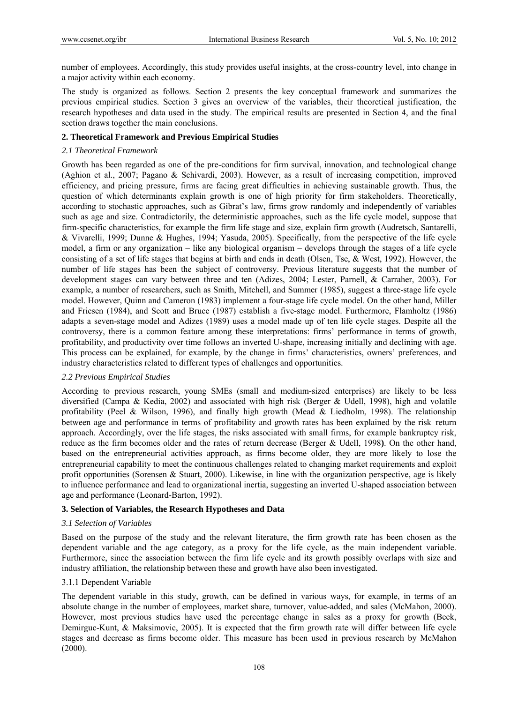number of employees. Accordingly, this study provides useful insights, at the cross-country level, into change in a major activity within each economy.

The study is organized as follows. Section 2 presents the key conceptual framework and summarizes the previous empirical studies. Section 3 gives an overview of the variables, their theoretical justification, the research hypotheses and data used in the study. The empirical results are presented in Section 4, and the final section draws together the main conclusions.

# **2. Theoretical Framework and Previous Empirical Studies**

## *2.1 Theoretical Framework*

Growth has been regarded as one of the pre-conditions for firm survival, innovation, and technological change (Aghion et al., 2007; Pagano & Schivardi, 2003). However, as a result of increasing competition, improved efficiency, and pricing pressure, firms are facing great difficulties in achieving sustainable growth. Thus, the question of which determinants explain growth is one of high priority for firm stakeholders. Theoretically, according to stochastic approaches, such as Gibrat's law, firms grow randomly and independently of variables such as age and size. Contradictorily, the deterministic approaches, such as the life cycle model, suppose that firm-specific characteristics, for example the firm life stage and size, explain firm growth (Audretsch, Santarelli, & Vivarelli, 1999; Dunne & Hughes, 1994; Yasuda, 2005). Specifically, from the perspective of the life cycle model, a firm or any organization – like any biological organism – develops through the stages of a life cycle consisting of a set of life stages that begins at birth and ends in death (Olsen, Tse, & West, 1992). However, the number of life stages has been the subject of controversy. Previous literature suggests that the number of development stages can vary between three and ten (Adizes, 2004; Lester, Parnell, & Carraher, 2003). For example, a number of researchers, such as Smith, Mitchell, and Summer (1985), suggest a three-stage life cycle model. However, Quinn and Cameron (1983) implement a four-stage life cycle model. On the other hand, Miller and Friesen (1984), and Scott and Bruce (1987) establish a five-stage model. Furthermore, Flamholtz (1986) adapts a seven-stage model and Adizes (1989) uses a model made up of ten life cycle stages. Despite all the controversy, there is a common feature among these interpretations: firms' performance in terms of growth, profitability, and productivity over time follows an inverted U-shape, increasing initially and declining with age. This process can be explained, for example, by the change in firms' characteristics, owners' preferences, and industry characteristics related to different types of challenges and opportunities.

#### *2.2 Previous Empirical Studies*

According to previous research, young SMEs (small and medium-sized enterprises) are likely to be less diversified (Campa & Kedia, 2002) and associated with high risk (Berger & Udell, 1998), high and volatile profitability (Peel & Wilson, 1996), and finally high growth (Mead & Liedholm, 1998). The relationship between age and performance in terms of profitability and growth rates has been explained by the risk–return approach. Accordingly, over the life stages, the risks associated with small firms, for example bankruptcy risk, reduce as the firm becomes older and the rates of return decrease (Berger & Udell, 1998**)**. On the other hand, based on the entrepreneurial activities approach, as firms become older, they are more likely to lose the entrepreneurial capability to meet the continuous challenges related to changing market requirements and exploit profit opportunities (Sorensen & Stuart, 2000). Likewise, in line with the organization perspective, age is likely to influence performance and lead to organizational inertia, suggesting an inverted U-shaped association between age and performance (Leonard-Barton, 1992).

#### **3. Selection of Variables, the Research Hypotheses and Data**

#### *3.1 Selection of Variables*

Based on the purpose of the study and the relevant literature, the firm growth rate has been chosen as the dependent variable and the age category, as a proxy for the life cycle, as the main independent variable. Furthermore, since the association between the firm life cycle and its growth possibly overlaps with size and industry affiliation, the relationship between these and growth have also been investigated.

#### 3.1.1 Dependent Variable

The dependent variable in this study, growth, can be defined in various ways, for example, in terms of an absolute change in the number of employees, market share, turnover, value-added, and sales (McMahon, 2000). However, most previous studies have used the percentage change in sales as a proxy for growth (Beck, Demirguc-Kunt, & Maksimovic, 2005). It is expected that the firm growth rate will differ between life cycle stages and decrease as firms become older. This measure has been used in previous research by McMahon (2000).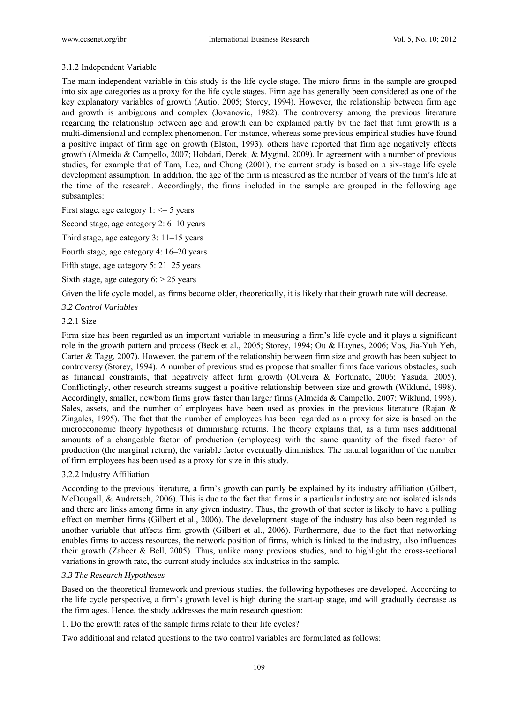# 3.1.2 Independent Variable

The main independent variable in this study is the life cycle stage. The micro firms in the sample are grouped into six age categories as a proxy for the life cycle stages. Firm age has generally been considered as one of the key explanatory variables of growth (Autio, 2005; Storey, 1994). However, the relationship between firm age and growth is ambiguous and complex (Jovanovic, 1982). The controversy among the previous literature regarding the relationship between age and growth can be explained partly by the fact that firm growth is a multi-dimensional and complex phenomenon. For instance, whereas some previous empirical studies have found a positive impact of firm age on growth (Elston, 1993), others have reported that firm age negatively effects growth (Almeida & Campello, 2007; Hobdari, Derek, & Mygind, 2009). In agreement with a number of previous studies, for example that of Tam, Lee, and Chung (2001), the current study is based on a six-stage life cycle development assumption. In addition, the age of the firm is measured as the number of years of the firm's life at the time of the research. Accordingly, the firms included in the sample are grouped in the following age subsamples:

First stage, age category  $1: \le 5$  years

Second stage, age category 2: 6–10 years

Third stage, age category 3: 11–15 years

Fourth stage, age category 4: 16–20 years

Fifth stage, age category 5: 21–25 years

Sixth stage, age category  $6:$  > 25 years

Given the life cycle model, as firms become older, theoretically, it is likely that their growth rate will decrease.

#### *3.2 Control Variables*

## 3.2.1 Size

Firm size has been regarded as an important variable in measuring a firm's life cycle and it plays a significant role in the growth pattern and process (Beck et al., 2005; Storey, 1994; Ou & Haynes, 2006; Vos, Jia-Yuh Yeh, Carter & Tagg, 2007). However, the pattern of the relationship between firm size and growth has been subject to controversy (Storey, 1994). A number of previous studies propose that smaller firms face various obstacles, such as financial constraints, that negatively affect firm growth (Oliveira & Fortunato, 2006; Yasuda, 2005). Conflictingly, other research streams suggest a positive relationship between size and growth (Wiklund, 1998). Accordingly, smaller, newborn firms grow faster than larger firms (Almeida & Campello, 2007; Wiklund, 1998). Sales, assets, and the number of employees have been used as proxies in the previous literature (Rajan  $\&$ Zingales, 1995). The fact that the number of employees has been regarded as a proxy for size is based on the microeconomic theory hypothesis of diminishing returns. The theory explains that, as a firm uses additional amounts of a changeable factor of production (employees) with the same quantity of the fixed factor of production (the marginal return), the variable factor eventually diminishes. The natural logarithm of the number of firm employees has been used as a proxy for size in this study.

#### 3.2.2 Industry Affiliation

According to the previous literature, a firm's growth can partly be explained by its industry affiliation (Gilbert, McDougall, & Audretsch, 2006). This is due to the fact that firms in a particular industry are not isolated islands and there are links among firms in any given industry. Thus, the growth of that sector is likely to have a pulling effect on member firms (Gilbert et al., 2006). The development stage of the industry has also been regarded as another variable that affects firm growth (Gilbert et al., 2006). Furthermore, due to the fact that networking enables firms to access resources, the network position of firms, which is linked to the industry, also influences their growth (Zaheer & Bell, 2005). Thus, unlike many previous studies, and to highlight the cross-sectional variations in growth rate, the current study includes six industries in the sample.

#### *3.3 The Research Hypotheses*

Based on the theoretical framework and previous studies, the following hypotheses are developed. According to the life cycle perspective, a firm's growth level is high during the start-up stage, and will gradually decrease as the firm ages. Hence, the study addresses the main research question:

1. Do the growth rates of the sample firms relate to their life cycles?

Two additional and related questions to the two control variables are formulated as follows: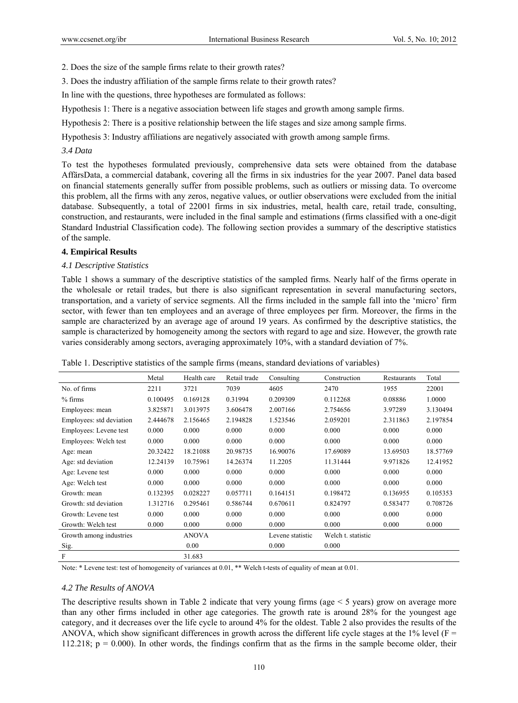2. Does the size of the sample firms relate to their growth rates?

3. Does the industry affiliation of the sample firms relate to their growth rates?

In line with the questions, three hypotheses are formulated as follows:

Hypothesis 1: There is a negative association between life stages and growth among sample firms.

Hypothesis 2: There is a positive relationship between the life stages and size among sample firms.

Hypothesis 3: Industry affiliations are negatively associated with growth among sample firms.

## *3.4 Data*

To test the hypotheses formulated previously, comprehensive data sets were obtained from the database AffärsData, a commercial databank, covering all the firms in six industries for the year 2007. Panel data based on financial statements generally suffer from possible problems, such as outliers or missing data. To overcome this problem, all the firms with any zeros, negative values, or outlier observations were excluded from the initial database. Subsequently, a total of 22001 firms in six industries, metal, health care, retail trade, consulting, construction, and restaurants, were included in the final sample and estimations (firms classified with a one-digit Standard Industrial Classification code). The following section provides a summary of the descriptive statistics of the sample.

# **4. Empirical Results**

# *4.1 Descriptive Statistics*

Table 1 shows a summary of the descriptive statistics of the sampled firms. Nearly half of the firms operate in the wholesale or retail trades, but there is also significant representation in several manufacturing sectors, transportation, and a variety of service segments. All the firms included in the sample fall into the 'micro' firm sector, with fewer than ten employees and an average of three employees per firm. Moreover, the firms in the sample are characterized by an average age of around 19 years. As confirmed by the descriptive statistics, the sample is characterized by homogeneity among the sectors with regard to age and size. However, the growth rate varies considerably among sectors, averaging approximately 10%, with a standard deviation of 7%.

|                          | Metal    | Health care  | Retail trade | Consulting       | Construction       | Restaurants | Total    |
|--------------------------|----------|--------------|--------------|------------------|--------------------|-------------|----------|
| No. of firms             | 2211     | 3721         | 7039         | 4605             | 2470               | 1955        | 22001    |
| $%$ firms                | 0.100495 | 0.169128     | 0.31994      | 0.209309         | 0.112268           | 0.08886     | 1.0000   |
| Employees: mean          | 3.825871 | 3.013975     | 3.606478     | 2.007166         | 2.754656           | 3.97289     | 3.130494 |
| Employees: std deviation | 2.444678 | 2.156465     | 2.194828     | 1.523546         | 2.059201           | 2.311863    | 2.197854 |
| Employees: Levene test   | 0.000    | 0.000        | 0.000        | 0.000            | 0.000              | 0.000       | 0.000    |
| Employees: Welch test    | 0.000    | 0.000        | 0.000        | 0.000            | 0.000              | 0.000       | 0.000    |
| Age: mean                | 20.32422 | 18.21088     | 20.98735     | 16.90076         | 17.69089           | 13.69503    | 18.57769 |
| Age: std deviation       | 12.24139 | 10.75961     | 14.26374     | 11.2205          | 11.31444           | 9.971826    | 12.41952 |
| Age: Levene test         | 0.000    | 0.000        | 0.000        | 0.000            | 0.000              | 0.000       | 0.000    |
| Age: Welch test          | 0.000    | 0.000        | 0.000        | 0.000            | 0.000              | 0.000       | 0.000    |
| Growth: mean             | 0.132395 | 0.028227     | 0.057711     | 0.164151         | 0.198472           | 0.136955    | 0.105353 |
| Growth: std deviation    | 1.312716 | 0.295461     | 0.586744     | 0.670611         | 0.824797           | 0.583477    | 0.708726 |
| Growth: Levene test      | 0.000    | 0.000        | 0.000        | 0.000            | 0.000              | 0.000       | 0.000    |
| Growth: Welch test       | 0.000    | 0.000        | 0.000        | 0.000            | 0.000              | 0.000       | 0.000    |
| Growth among industries  |          | <b>ANOVA</b> |              | Levene statistic | Welch t. statistic |             |          |
| Sig.                     |          | 0.00         |              | 0.000            | 0.000              |             |          |
| ${\bf F}$                |          | 31.683       |              |                  |                    |             |          |

Table 1. Descriptive statistics of the sample firms (means, standard deviations of variables)

Note: \* Levene test: test of homogeneity of variances at 0.01, \*\* Welch t-tests of equality of mean at 0.01.

# *4.2 The Results of ANOVA*

The descriptive results shown in Table 2 indicate that very young firms (age  $\leq$  5 years) grow on average more than any other firms included in other age categories. The growth rate is around 28% for the youngest age category, and it decreases over the life cycle to around 4% for the oldest. Table 2 also provides the results of the ANOVA, which show significant differences in growth across the different life cycle stages at the 1% level ( $F =$ 112.218;  $p = 0.000$ ). In other words, the findings confirm that as the firms in the sample become older, their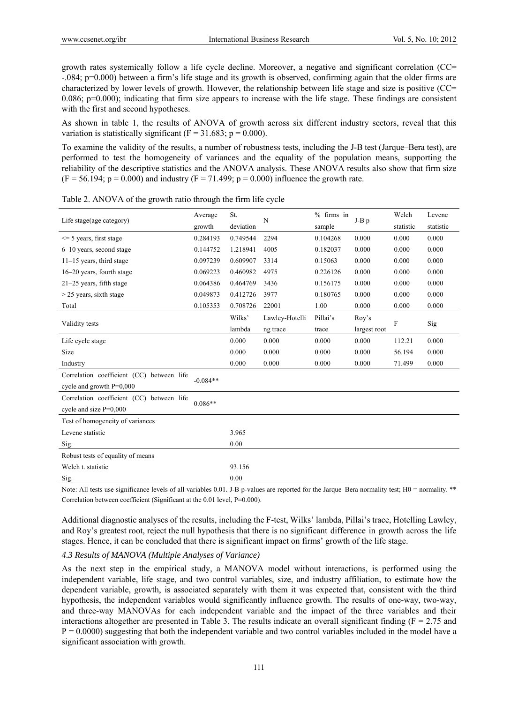growth rates systemically follow a life cycle decline. Moreover, a negative and significant correlation (CC= -.084; p=0.000) between a firm's life stage and its growth is observed, confirming again that the older firms are characterized by lower levels of growth. However, the relationship between life stage and size is positive (CC= 0.086;  $p=0.000$ ; indicating that firm size appears to increase with the life stage. These findings are consistent with the first and second hypotheses.

As shown in table 1, the results of ANOVA of growth across six different industry sectors, reveal that this variation is statistically significant ( $F = 31.683$ ;  $p = 0.000$ ).

To examine the validity of the results, a number of robustness tests, including the J-B test (Jarque–Bera test), are performed to test the homogeneity of variances and the equality of the population means, supporting the reliability of the descriptive statistics and the ANOVA analysis. These ANOVA results also show that firm size  $(F = 56.194; p = 0.000)$  and industry  $(F = 71.499; p = 0.000)$  influence the growth rate.

| Life stage(age category)                                                | Average    | St.       | N              | $%$ firms in | $J-B$ $p$    | Welch     | Levene    |
|-------------------------------------------------------------------------|------------|-----------|----------------|--------------|--------------|-----------|-----------|
|                                                                         | growth     | deviation |                | sample       |              | statistic | statistic |
| $\leq$ 5 years, first stage                                             | 0.284193   | 0.749544  | 2294           | 0.104268     | 0.000        | 0.000     | 0.000     |
| 6–10 years, second stage                                                | 0.144752   | 1.218941  | 4005           | 0.182037     | 0.000        | 0.000     | 0.000     |
| $11-15$ years, third stage                                              | 0.097239   | 0.609907  | 3314           | 0.15063      | 0.000        | 0.000     | 0.000     |
| 16–20 years, fourth stage                                               | 0.069223   | 0.460982  | 4975           | 0.226126     | 0.000        | 0.000     | 0.000     |
| $21-25$ years, fifth stage                                              | 0.064386   | 0.464769  | 3436           | 0.156175     | 0.000        | 0.000     | 0.000     |
| $>$ 25 years, sixth stage                                               | 0.049873   | 0.412726  | 3977           | 0.180765     | 0.000        | 0.000     | 0.000     |
| Total                                                                   | 0.105353   | 0.708726  | 22001          | 1.00         | 0.000        | 0.000     | 0.000     |
|                                                                         |            | Wilks'    | Lawley-Hotelli | Pillai's     | Roy's        | F         | Sig       |
| Validity tests                                                          |            | lambda    | ng trace       | trace        | largest root |           |           |
| Life cycle stage                                                        |            | 0.000     | 0.000          | 0.000        | 0.000        | 112.21    | 0.000     |
| Size                                                                    |            | 0.000     | 0.000          | 0.000        | 0.000        | 56.194    | 0.000     |
| Industry                                                                |            | 0.000     | 0.000          | 0.000        | 0.000        | 71.499    | 0.000     |
| Correlation coefficient (CC) between life<br>cycle and growth $P=0,000$ | $-0.084**$ |           |                |              |              |           |           |
| Correlation coefficient (CC) between life<br>cycle and size $P=0,000$   | $0.086**$  |           |                |              |              |           |           |
| Test of homogeneity of variances                                        |            |           |                |              |              |           |           |
| Levene statistic                                                        |            | 3.965     |                |              |              |           |           |
| Sig.                                                                    |            | 0.00      |                |              |              |           |           |
| Robust tests of equality of means                                       |            |           |                |              |              |           |           |
| Welch t. statistic                                                      |            | 93.156    |                |              |              |           |           |
| Sig.                                                                    |            | 0.00      |                |              |              |           |           |

Table 2. ANOVA of the growth ratio through the firm life cycle

Note: All tests use significance levels of all variables 0.01. J-B p-values are reported for the Jarque–Bera normality test; H0 = normality. \*\* Correlation between coefficient (Significant at the 0.01 level, P=0.000).

Additional diagnostic analyses of the results, including the F-test, Wilks' lambda, Pillai's trace, Hotelling Lawley, and Roy's greatest root, reject the null hypothesis that there is no significant difference in growth across the life stages. Hence, it can be concluded that there is significant impact on firms' growth of the life stage.

#### *4.3 Results of MANOVA (Multiple Analyses of Variance)*

As the next step in the empirical study, a MANOVA model without interactions, is performed using the independent variable, life stage, and two control variables, size, and industry affiliation, to estimate how the dependent variable, growth, is associated separately with them it was expected that, consistent with the third hypothesis, the independent variables would significantly influence growth. The results of one-way, two-way, and three-way MANOVAs for each independent variable and the impact of the three variables and their interactions altogether are presented in Table 3. The results indicate an overall significant finding ( $F = 2.75$  and  $P = 0.0000$ ) suggesting that both the independent variable and two control variables included in the model have a significant association with growth.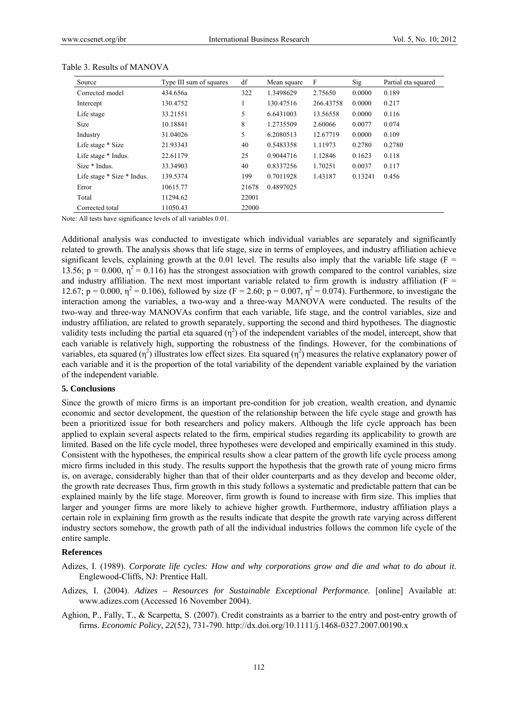| Source                     | Type III sum of squares | df    | Mean square | F         | Sig     | Partial eta squared |
|----------------------------|-------------------------|-------|-------------|-----------|---------|---------------------|
| Corrected model            | 434.656a                | 322   | 1.3498629   | 2.75650   | 0.0000  | 0.189               |
| Intercept                  | 130.4752                |       | 130.47516   | 266.43758 | 0.0000  | 0.217               |
| Life stage                 | 33.21551                | 5     | 6.6431003   | 13.56558  | 0.0000  | 0.116               |
| Size                       | 10.18841                | 8     | 1.2735509   | 2.60066   | 0.0077  | 0.074               |
| Industry                   | 31.04026                | 5     | 6.2080513   | 12.67719  | 0.0000  | 0.109               |
| Life stage * Size          | 21.93343                | 40    | 0.5483358   | 1.11973   | 0.2780  | 0.2780              |
| Life stage * Indus.        | 22.61179                | 25    | 0.9044716   | 1.12846   | 0.1623  | 0.118               |
| Size * Indus.              | 33.34903                | 40    | 0.8337256   | 1.70251   | 0.0037  | 0.117               |
| Life stage * Size * Indus. | 139.5374                | 199   | 0.7011928   | 1.43187   | 0.13241 | 0.456               |
| Error                      | 10615.77                | 21678 | 0.4897025   |           |         |                     |
| Total                      | 11294.62                | 22001 |             |           |         |                     |
| Corrected total            | 11050.43                | 22000 |             |           |         |                     |

#### Table 3. Results of MANOVA

Note: All tests have significance levels of all variables 0.01.

Additional analysis was conducted to investigate which individual variables are separately and significantly related to growth. The analysis shows that life stage, size in terms of employees, and industry affiliation achieve significant levels, explaining growth at the 0.01 level. The results also imply that the variable life stage ( $F =$ 13.56;  $p = 0.000$ ,  $\eta^2 = 0.116$ ) has the strongest association with growth compared to the control variables, size and industry affiliation. The next most important variable related to firm growth is industry affiliation ( $F =$ 12.67; p = 0.000,  $\eta^2$  = 0.106), followed by size (F = 2.60; p = 0.007,  $\eta^2$  = 0.074). Furthermore, to investigate the interaction among the variables, a two-way and a three-way MANOVA were conducted. The results of the two-way and three-way MANOVAs confirm that each variable, life stage, and the control variables, size and industry affiliation, are related to growth separately, supporting the second and third hypotheses. The diagnostic validity tests including the partial eta squared  $(\eta^2)$  of the independent variables of the model, intercept, show that each variable is relatively high, supporting the robustness of the findings. However, for the combinations of variables, eta squared ( $\eta^2$ ) illustrates low effect sizes. Eta squared ( $\eta^2$ ) measures the relative explanatory power of each variable and it is the proportion of the total variability of the dependent variable explained by the variation of the independent variable.

#### **5. Conclusions**

Since the growth of micro firms is an important pre-condition for job creation, wealth creation, and dynamic economic and sector development, the question of the relationship between the life cycle stage and growth has been a prioritized issue for both researchers and policy makers. Although the life cycle approach has been applied to explain several aspects related to the firm, empirical studies regarding its applicability to growth are limited. Based on the life cycle model, three hypotheses were developed and empirically examined in this study. Consistent with the hypotheses, the empirical results show a clear pattern of the growth life cycle process among micro firms included in this study. The results support the hypothesis that the growth rate of young micro firms is, on average, considerably higher than that of their older counterparts and as they develop and become older, the growth rate decreases Thus, firm growth in this study follows a systematic and predictable pattern that can be explained mainly by the life stage. Moreover, firm growth is found to increase with firm size. This implies that larger and younger firms are more likely to achieve higher growth. Furthermore, industry affiliation plays a certain role in explaining firm growth as the results indicate that despite the growth rate varying across different industry sectors somehow, the growth path of all the individual industries follows the common life cycle of the entire sample.

#### **References**

- Adizes, I. (1989). *Corporate life cycles: How and why corporations grow and die and what to do about it*. Englewood-Cliffs, NJ: Prentice Hall.
- Adizes, I. (2004). *Adizes Resources for Sustainable Exceptional Performance*. [online] Available at: www.adizes.com (Accessed 16 November 2004).
- Aghion, P., Fally, T., & Scarpetta, S. (2007). Credit constraints as a barrier to the entry and post-entry growth of firms. *Economic Policy, 22*(52), 731-790. http://dx.doi.org/10.1111/j.1468-0327.2007.00190.x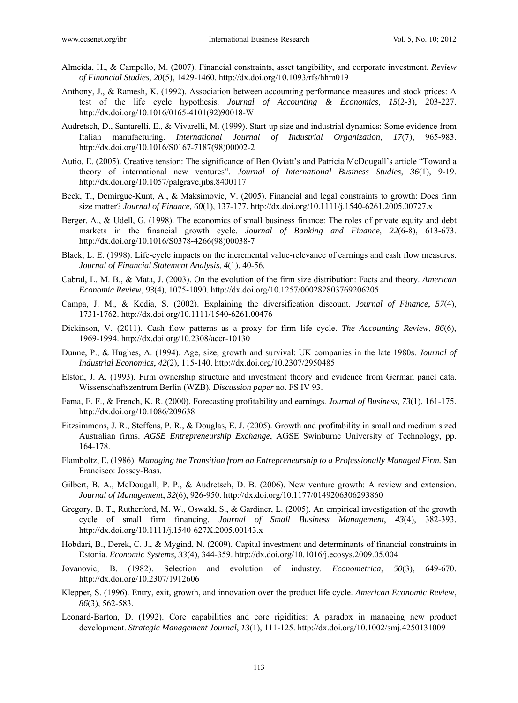- Almeida, H., & Campello, M. (2007). Financial constraints, asset tangibility, and corporate investment. *Review of Financial Studies, 20*(5), 1429-1460. http://dx.doi.org/10.1093/rfs/hhm019
- Anthony, J., & Ramesh, K. (1992). Association between accounting performance measures and stock prices: A test of the life cycle hypothesis. *Journal of Accounting & Economics*, *15*(2-3), 203-227. http://dx.doi.org/10.1016/0165-4101(92)90018-W
- Audretsch, D., Santarelli, E., & Vivarelli, M. (1999). Start-up size and industrial dynamics: Some evidence from Italian manufacturing. *International Journal of Industrial Organization*, *17*(7), 965-983. http://dx.doi.org/10.1016/S0167-7187(98)00002-2
- Autio, E. (2005). Creative tension: The significance of Ben Oviatt's and Patricia McDougall's article "Toward a theory of international new ventures". *Journal of International Business Studies*, *36*(1), 9-19. http://dx.doi.org/10.1057/palgrave.jibs.8400117
- Beck, T., Demirguc-Kunt, A., & Maksimovic, V. (2005). Financial and legal constraints to growth: Does firm size matter? *Journal of Finance, 60*(1), 137-177. http://dx.doi.org/10.1111/j.1540-6261.2005.00727.x
- Berger, A., & Udell, G. (1998). The economics of small business finance: The roles of private equity and debt markets in the financial growth cycle. *Journal of Banking and Finance, 22*(6-8), 613-673. http://dx.doi.org/10.1016/S0378-4266(98)00038-7
- Black, L. E. (1998). Life-cycle impacts on the incremental value-relevance of earnings and cash flow measures. *Journal of Financial Statement Analysis*, *4*(1), 40-56.
- Cabral, L. M. B., & Mata, J. (2003). On the evolution of the firm size distribution: Facts and theory. *American Economic Review*, *93*(4), 1075-1090. http://dx.doi.org/10.1257/000282803769206205
- Campa, J. M., & Kedia, S. (2002). Explaining the diversification discount. *Journal of Finance*, *57*(4), 1731-1762. http://dx.doi.org/10.1111/1540-6261.00476
- Dickinson, V. (2011). Cash flow patterns as a proxy for firm life cycle. *The Accounting Review*, *86*(6), 1969-1994. http://dx.doi.org/10.2308/accr-10130
- Dunne, P., & Hughes, A. (1994). Age, size, growth and survival: UK companies in the late 1980s. *Journal of Industrial Economics*, *42*(2), 115-140. http://dx.doi.org/10.2307/2950485
- Elston, J. A. (1993). Firm ownership structure and investment theory and evidence from German panel data. Wissenschaftszentrum Berlin (WZB), *Discussion paper* no. FS IV 93.
- Fama, E. F., & French, K. R. (2000). Forecasting profitability and earnings. *Journal of Business*, *73*(1), 161-175. http://dx.doi.org/10.1086/209638
- Fitzsimmons, J. R., Steffens, P. R., & Douglas, E. J. (2005). Growth and profitability in small and medium sized Australian firms. *AGSE Entrepreneurship Exchange*, AGSE Swinburne University of Technology, pp. 164-178.
- Flamholtz, E. (1986). *Managing the Transition from an Entrepreneurship to a Professionally Managed Firm.* San Francisco: Jossey-Bass.
- Gilbert, B. A., McDougall, P. P., & Audretsch, D. B. (2006). New venture growth: A review and extension. *Journal of Management*, *32*(6), 926-950. http://dx.doi.org/10.1177/0149206306293860
- Gregory, B. T., Rutherford, M. W., Oswald, S., & Gardiner, L. (2005). An empirical investigation of the growth cycle of small firm financing. *Journal of Small Business Management*, *43*(4), 382-393. http://dx.doi.org/10.1111/j.1540-627X.2005.00143.x
- Hobdari, B., Derek, C. J., & Mygind, N. (2009). Capital investment and determinants of financial constraints in Estonia. *Economic Systems*, *33*(4), 344-359. http://dx.doi.org/10.1016/j.ecosys.2009.05.004
- Jovanovic, B. (1982). Selection and evolution of industry. *Econometrica*, *50*(3), 649-670. http://dx.doi.org/10.2307/1912606
- Klepper, S. (1996). Entry, exit, growth, and innovation over the product life cycle. *American Economic Review*, *86*(3), 562-583.
- Leonard-Barton, D. (1992). Core capabilities and core rigidities: A paradox in managing new product development. *Strategic Management Journal*, *13*(1), 111-125. http://dx.doi.org/10.1002/smj.4250131009